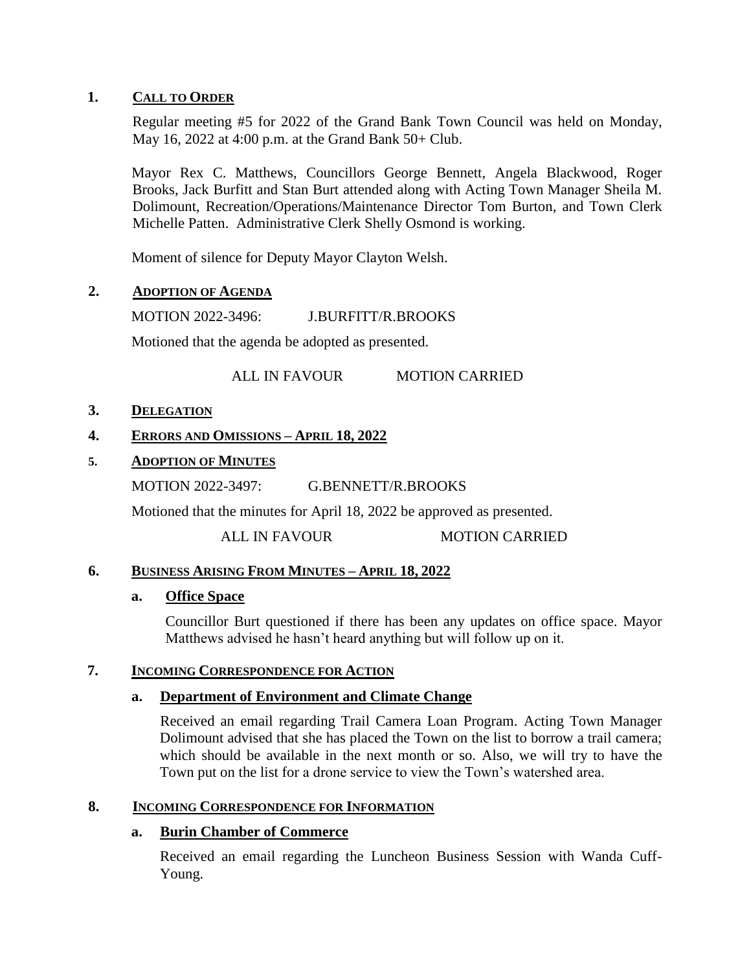# **1. CALL TO ORDER**

Regular meeting #5 for 2022 of the Grand Bank Town Council was held on Monday, May 16, 2022 at 4:00 p.m. at the Grand Bank 50+ Club.

Mayor Rex C. Matthews, Councillors George Bennett, Angela Blackwood, Roger Brooks, Jack Burfitt and Stan Burt attended along with Acting Town Manager Sheila M. Dolimount, Recreation/Operations/Maintenance Director Tom Burton, and Town Clerk Michelle Patten. Administrative Clerk Shelly Osmond is working.

Moment of silence for Deputy Mayor Clayton Welsh.

# **2. ADOPTION OF AGENDA**

MOTION 2022-3496: J.BURFITT/R.BROOKS

Motioned that the agenda be adopted as presented.

ALL IN FAVOUR MOTION CARRIED

# **3. DELEGATION**

# **4. ERRORS AND OMISSIONS – APRIL 18, 2022**

# **5. ADOPTION OF MINUTES**

MOTION 2022-3497: G.BENNETT/R.BROOKS

Motioned that the minutes for April 18, 2022 be approved as presented.

ALL IN FAVOUR MOTION CARRIED

# **6. BUSINESS ARISING FROM MINUTES – APRIL 18, 2022**

# **a. Office Space**

Councillor Burt questioned if there has been any updates on office space. Mayor Matthews advised he hasn't heard anything but will follow up on it.

# **7. INCOMING CORRESPONDENCE FOR ACTION**

# **a. Department of Environment and Climate Change**

Received an email regarding Trail Camera Loan Program. Acting Town Manager Dolimount advised that she has placed the Town on the list to borrow a trail camera; which should be available in the next month or so. Also, we will try to have the Town put on the list for a drone service to view the Town's watershed area.

# **8. INCOMING CORRESPONDENCE FOR INFORMATION**

# **a. Burin Chamber of Commerce**

Received an email regarding the Luncheon Business Session with Wanda Cuff-Young.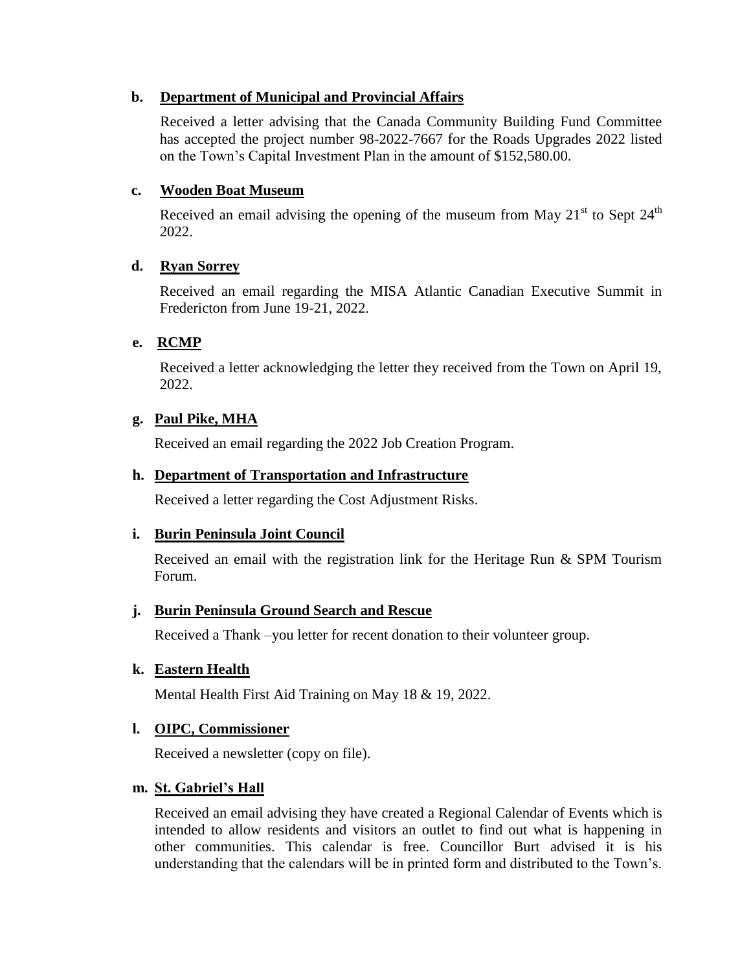# **b. Department of Municipal and Provincial Affairs**

Received a letter advising that the Canada Community Building Fund Committee has accepted the project number 98-2022-7667 for the Roads Upgrades 2022 listed on the Town's Capital Investment Plan in the amount of \$152,580.00.

# **c. Wooden Boat Museum**

Received an email advising the opening of the museum from May  $21<sup>st</sup>$  to Sept  $24<sup>th</sup>$ 2022.

# **d. Ryan Sorrey**

Received an email regarding the MISA Atlantic Canadian Executive Summit in Fredericton from June 19-21, 2022.

# **e. RCMP**

Received a letter acknowledging the letter they received from the Town on April 19, 2022.

# **g. Paul Pike, MHA**

Received an email regarding the 2022 Job Creation Program.

# **h. Department of Transportation and Infrastructure**

Received a letter regarding the Cost Adjustment Risks.

# **i. Burin Peninsula Joint Council**

Received an email with the registration link for the Heritage Run & SPM Tourism Forum.

# **j. Burin Peninsula Ground Search and Rescue**

Received a Thank –you letter for recent donation to their volunteer group.

# **k. Eastern Health**

Mental Health First Aid Training on May 18 & 19, 2022.

# **l. OIPC, Commissioner**

Received a newsletter (copy on file).

# **m. St. Gabriel's Hall**

Received an email advising they have created a Regional Calendar of Events which is intended to allow residents and visitors an outlet to find out what is happening in other communities. This calendar is free. Councillor Burt advised it is his understanding that the calendars will be in printed form and distributed to the Town's.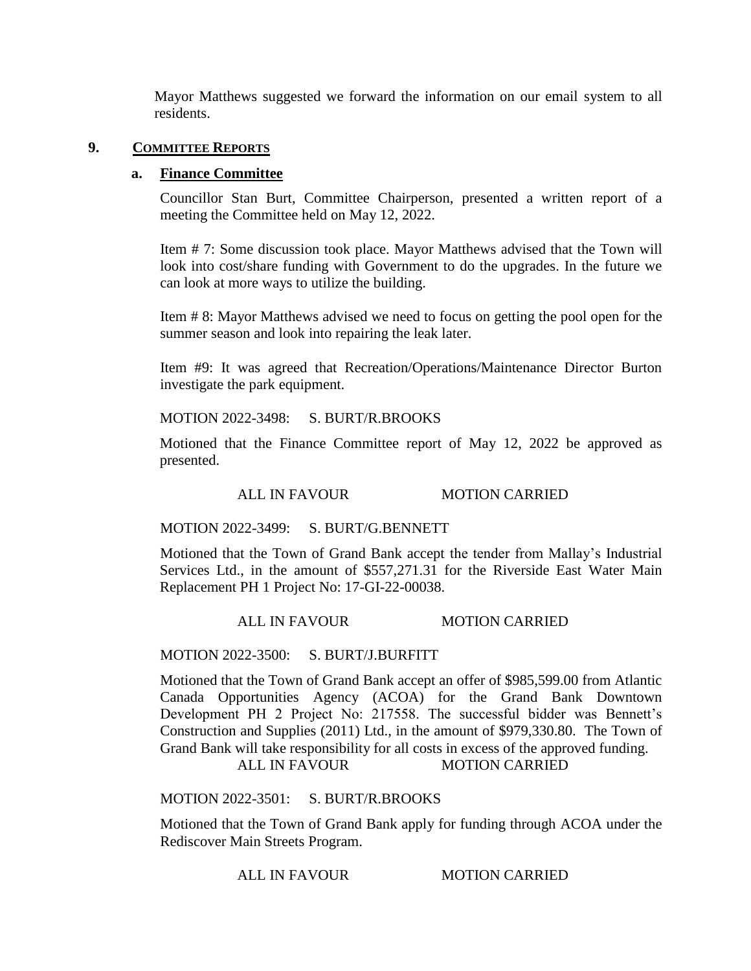Mayor Matthews suggested we forward the information on our email system to all residents.

## **9. COMMITTEE REPORTS**

## **a. Finance Committee**

Councillor Stan Burt, Committee Chairperson, presented a written report of a meeting the Committee held on May 12, 2022.

Item # 7: Some discussion took place. Mayor Matthews advised that the Town will look into cost/share funding with Government to do the upgrades. In the future we can look at more ways to utilize the building.

Item # 8: Mayor Matthews advised we need to focus on getting the pool open for the summer season and look into repairing the leak later.

Item #9: It was agreed that Recreation/Operations/Maintenance Director Burton investigate the park equipment.

## MOTION 2022-3498: S. BURT/R.BROOKS

Motioned that the Finance Committee report of May 12, 2022 be approved as presented.

# ALL IN FAVOUR MOTION CARRIED

#### MOTION 2022-3499: S. BURT/G.BENNETT

Motioned that the Town of Grand Bank accept the tender from Mallay's Industrial Services Ltd., in the amount of \$557,271.31 for the Riverside East Water Main Replacement PH 1 Project No: 17-GI-22-00038.

#### ALL IN FAVOUR MOTION CARRIED

#### MOTION 2022-3500: S. BURT/J.BURFITT

Motioned that the Town of Grand Bank accept an offer of \$985,599.00 from Atlantic Canada Opportunities Agency (ACOA) for the Grand Bank Downtown Development PH 2 Project No: 217558. The successful bidder was Bennett's Construction and Supplies (2011) Ltd., in the amount of \$979,330.80. The Town of Grand Bank will take responsibility for all costs in excess of the approved funding. ALL IN FAVOUR MOTION CARRIED

# MOTION 2022-3501: S. BURT/R.BROOKS

Motioned that the Town of Grand Bank apply for funding through ACOA under the Rediscover Main Streets Program.

ALL IN FAVOUR MOTION CARRIED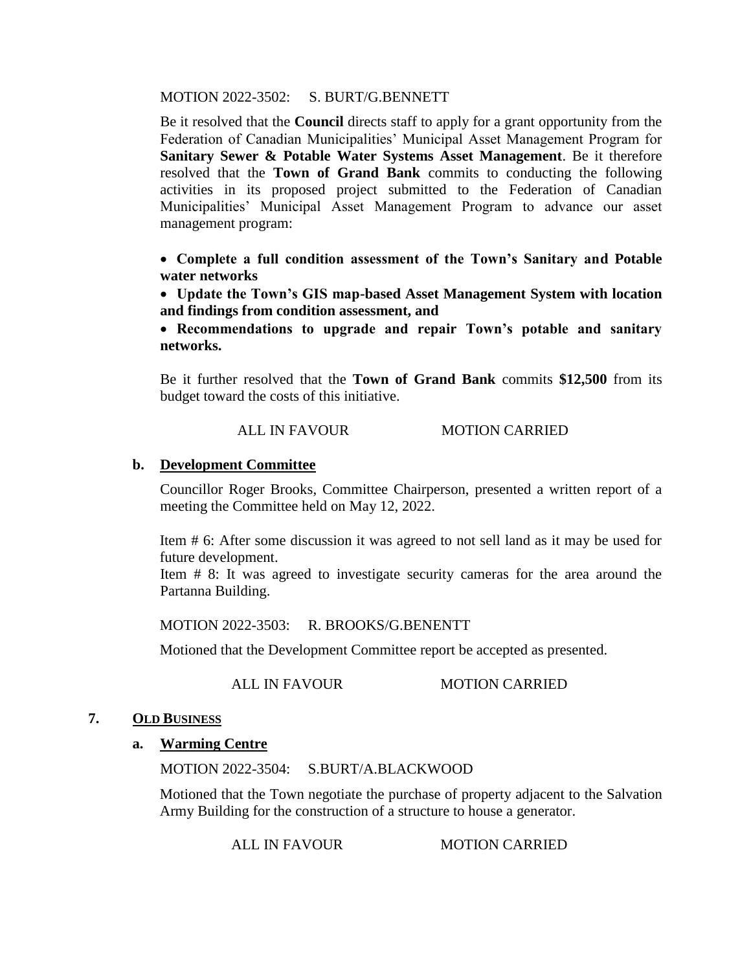MOTION 2022-3502: S. BURT/G.BENNETT

Be it resolved that the **Council** directs staff to apply for a grant opportunity from the Federation of Canadian Municipalities' Municipal Asset Management Program for **Sanitary Sewer & Potable Water Systems Asset Management**. Be it therefore resolved that the **Town of Grand Bank** commits to conducting the following activities in its proposed project submitted to the Federation of Canadian Municipalities' Municipal Asset Management Program to advance our asset management program:

 **Complete a full condition assessment of the Town's Sanitary and Potable water networks**

 **Update the Town's GIS map-based Asset Management System with location and findings from condition assessment, and** 

 **Recommendations to upgrade and repair Town's potable and sanitary networks.**

Be it further resolved that the **Town of Grand Bank** commits **\$12,500** from its budget toward the costs of this initiative.

# ALL IN FAVOUR MOTION CARRIED

# **b. Development Committee**

Councillor Roger Brooks, Committee Chairperson, presented a written report of a meeting the Committee held on May 12, 2022.

Item # 6: After some discussion it was agreed to not sell land as it may be used for future development.

Item # 8: It was agreed to investigate security cameras for the area around the Partanna Building.

MOTION 2022-3503: R. BROOKS/G.BENENTT

Motioned that the Development Committee report be accepted as presented.

ALL IN FAVOUR MOTION CARRIED

## **7. OLD BUSINESS**

# **a. Warming Centre**

MOTION 2022-3504: S.BURT/A.BLACKWOOD

Motioned that the Town negotiate the purchase of property adjacent to the Salvation Army Building for the construction of a structure to house a generator.

ALL IN FAVOUR MOTION CARRIED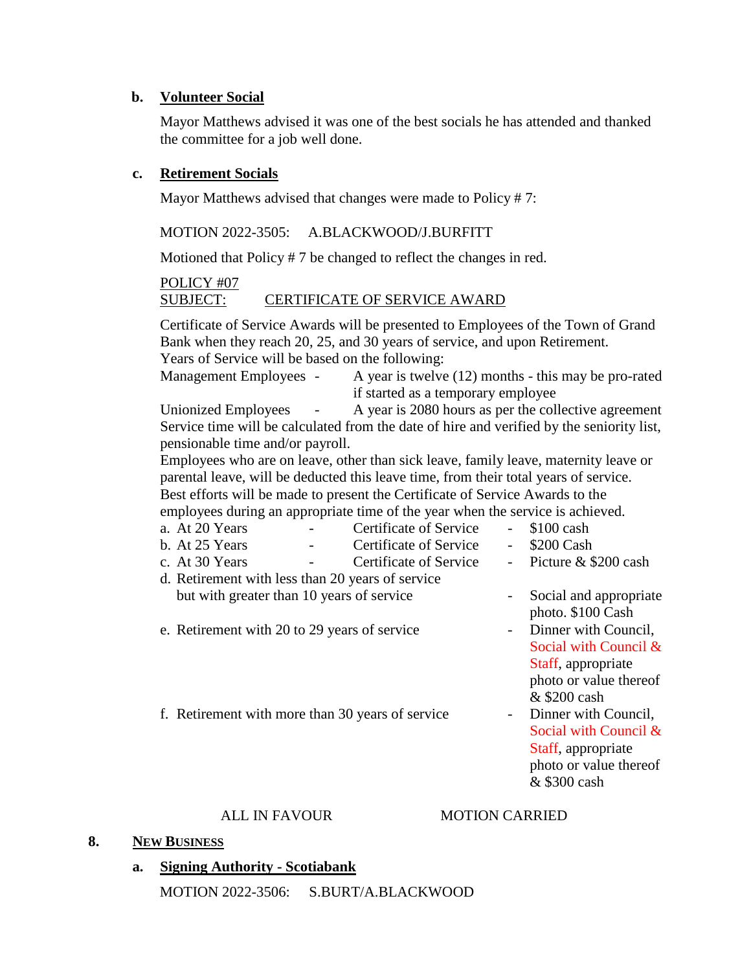# **b. Volunteer Social**

Mayor Matthews advised it was one of the best socials he has attended and thanked the committee for a job well done.

# **c. Retirement Socials**

Mayor Matthews advised that changes were made to Policy # 7:

MOTION 2022-3505: A.BLACKWOOD/J.BURFITT

Motioned that Policy # 7 be changed to reflect the changes in red.

# POLICY #07 SUBJECT: CERTIFICATE OF SERVICE AWARD

Certificate of Service Awards will be presented to Employees of the Town of Grand Bank when they reach 20, 25, and 30 years of service, and upon Retirement. Years of Service will be based on the following:

Management Employees - A year is twelve (12) months - this may be pro-rated if started as a temporary employee

Unionized Employees - A year is 2080 hours as per the collective agreement Service time will be calculated from the date of hire and verified by the seniority list, pensionable time and/or payroll.

Employees who are on leave, other than sick leave, family leave, maternity leave or parental leave, will be deducted this leave time, from their total years of service. Best efforts will be made to present the Certificate of Service Awards to the

employees during an appropriate time of the year when the service is achieved.

- a. At 20 Years Certificate of Service \$100 cash
- b. At 25 Years Certificate of Service \$200 Cash
- c. At 30 Years Certificate of Service Picture & \$200 cash
- d. Retirement with less than 20 years of service but with greater than 10 years of service - Social and appropriate
- e. Retirement with 20 to 29 years of service Dinner with Council,
- 
- 
- 
- photo. \$100 Cash
- Social with Council & Staff, appropriate photo or value thereof & \$200 cash
- f. Retirement with more than 30 years of service Dinner with Council, Social with Council & Staff, appropriate photo or value thereof & \$300 cash

# ALL IN FAVOUR MOTION CARRIED

#### **8. NEW BUSINESS**

- **a. Signing Authority - Scotiabank**
	- MOTION 2022-3506: S.BURT/A.BLACKWOOD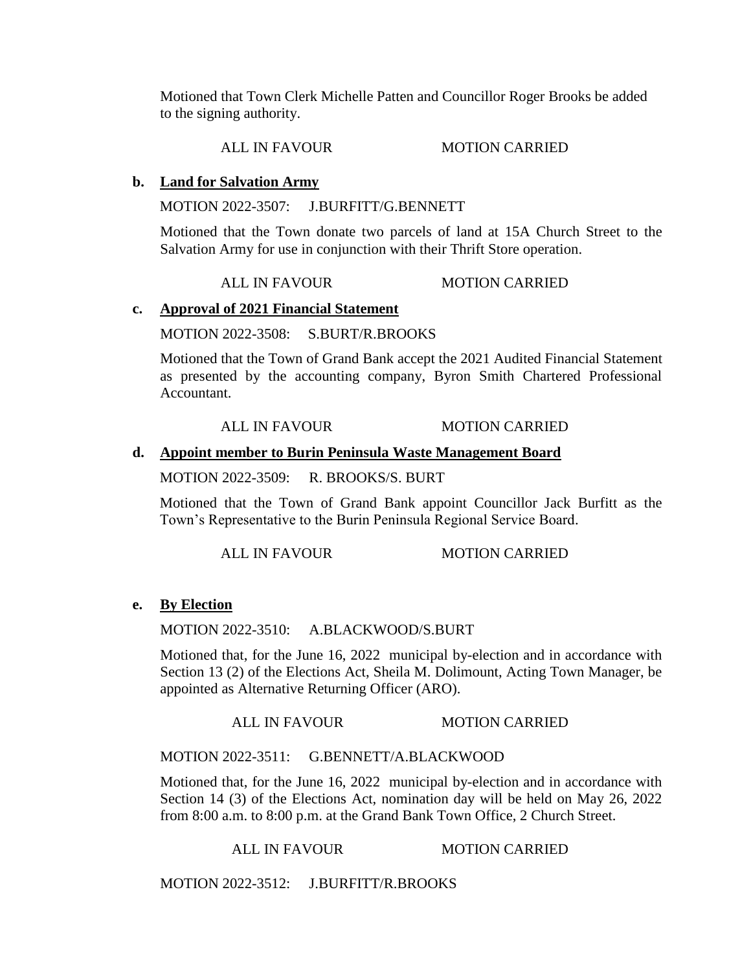Motioned that Town Clerk Michelle Patten and Councillor Roger Brooks be added to the signing authority.

ALL IN FAVOUR MOTION CARRIED

# **b. Land for Salvation Army**

MOTION 2022-3507: J.BURFITT/G.BENNETT

Motioned that the Town donate two parcels of land at 15A Church Street to the Salvation Army for use in conjunction with their Thrift Store operation.

ALL IN FAVOUR MOTION CARRIED

# **c. Approval of 2021 Financial Statement**

## MOTION 2022-3508: S.BURT/R.BROOKS

Motioned that the Town of Grand Bank accept the 2021 Audited Financial Statement as presented by the accounting company, Byron Smith Chartered Professional Accountant.

# ALL IN FAVOUR MOTION CARRIED

## **d. Appoint member to Burin Peninsula Waste Management Board**

MOTION 2022-3509: R. BROOKS/S. BURT

Motioned that the Town of Grand Bank appoint Councillor Jack Burfitt as the Town's Representative to the Burin Peninsula Regional Service Board.

ALL IN FAVOUR MOTION CARRIED

# **e. By Election**

MOTION 2022-3510: A.BLACKWOOD/S.BURT

Motioned that, for the June 16, 2022 municipal by-election and in accordance with Section 13 (2) of the Elections Act, Sheila M. Dolimount, Acting Town Manager, be appointed as Alternative Returning Officer (ARO).

#### ALL IN FAVOUR MOTION CARRIED

# MOTION 2022-3511: G.BENNETT/A.BLACKWOOD

Motioned that, for the June 16, 2022 municipal by-election and in accordance with Section 14 (3) of the Elections Act, nomination day will be held on May 26, 2022 from 8:00 a.m. to 8:00 p.m. at the Grand Bank Town Office, 2 Church Street.

ALL IN FAVOUR MOTION CARRIED

MOTION 2022-3512: J.BURFITT/R.BROOKS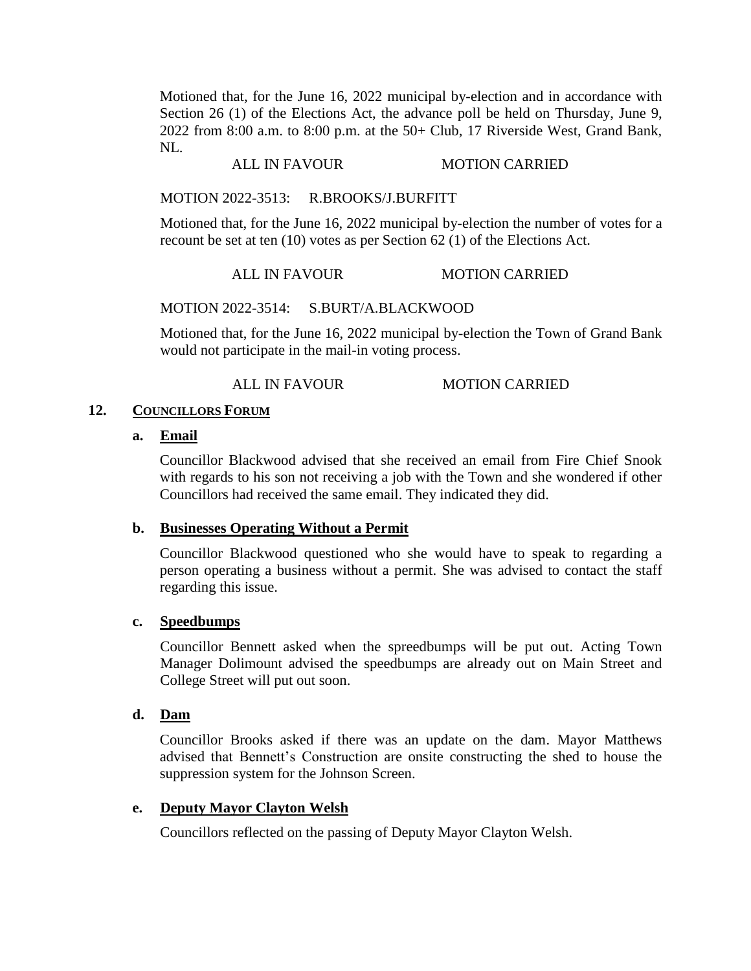Motioned that, for the June 16, 2022 municipal by-election and in accordance with Section 26 (1) of the Elections Act, the advance poll be held on Thursday, June 9, 2022 from 8:00 a.m. to 8:00 p.m. at the 50+ Club, 17 Riverside West, Grand Bank, NL.

# ALL IN FAVOUR MOTION CARRIED

## MOTION 2022-3513: R.BROOKS/J.BURFITT

Motioned that, for the June 16, 2022 municipal by-election the number of votes for a recount be set at ten (10) votes as per Section 62 (1) of the Elections Act.

#### ALL IN FAVOUR MOTION CARRIED

#### MOTION 2022-3514: S.BURT/A.BLACKWOOD

Motioned that, for the June 16, 2022 municipal by-election the Town of Grand Bank would not participate in the mail-in voting process.

#### ALL IN FAVOUR MOTION CARRIED

## **12. COUNCILLORS FORUM**

#### **a. Email**

Councillor Blackwood advised that she received an email from Fire Chief Snook with regards to his son not receiving a job with the Town and she wondered if other Councillors had received the same email. They indicated they did.

#### **b. Businesses Operating Without a Permit**

Councillor Blackwood questioned who she would have to speak to regarding a person operating a business without a permit. She was advised to contact the staff regarding this issue.

#### **c. Speedbumps**

Councillor Bennett asked when the spreedbumps will be put out. Acting Town Manager Dolimount advised the speedbumps are already out on Main Street and College Street will put out soon.

## **d. Dam**

Councillor Brooks asked if there was an update on the dam. Mayor Matthews advised that Bennett's Construction are onsite constructing the shed to house the suppression system for the Johnson Screen.

#### **e. Deputy Mayor Clayton Welsh**

Councillors reflected on the passing of Deputy Mayor Clayton Welsh.